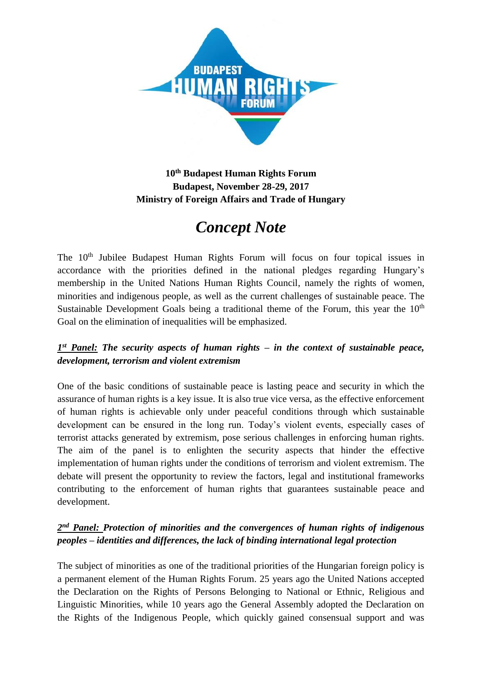

## **10th Budapest Human Rights Forum Budapest, November 28-29, 2017 Ministry of Foreign Affairs and Trade of Hungary**

# *Concept Note*

The 10<sup>th</sup> Jubilee Budapest Human Rights Forum will focus on four topical issues in accordance with the priorities defined in the national pledges regarding Hungary's membership in the United Nations Human Rights Council, namely the rights of women, minorities and indigenous people, as well as the current challenges of sustainable peace. The Sustainable Development Goals being a traditional theme of the Forum, this year the  $10<sup>th</sup>$ Goal on the elimination of inequalities will be emphasized.

### *1 st Panel: The security aspects of human rights – in the context of sustainable peace, development, terrorism and violent extremism*

One of the basic conditions of sustainable peace is lasting peace and security in which the assurance of human rights is a key issue. It is also true vice versa, as the effective enforcement of human rights is achievable only under peaceful conditions through which sustainable development can be ensured in the long run. Today's violent events, especially cases of terrorist attacks generated by extremism, pose serious challenges in enforcing human rights. The aim of the panel is to enlighten the security aspects that hinder the effective implementation of human rights under the conditions of terrorism and violent extremism. The debate will present the opportunity to review the factors, legal and institutional frameworks contributing to the enforcement of human rights that guarantees sustainable peace and development.

### 2<sup>nd</sup> Panel: Protection of minorities and the convergences of human rights of indigenous *peoples – identities and differences, the lack of binding international legal protection*

The subject of minorities as one of the traditional priorities of the Hungarian foreign policy is a permanent element of the Human Rights Forum. 25 years ago the United Nations accepted the Declaration on the Rights of Persons Belonging to National or Ethnic, Religious and Linguistic Minorities, while 10 years ago the General Assembly adopted the Declaration on the Rights of the Indigenous People, which quickly gained consensual support and was